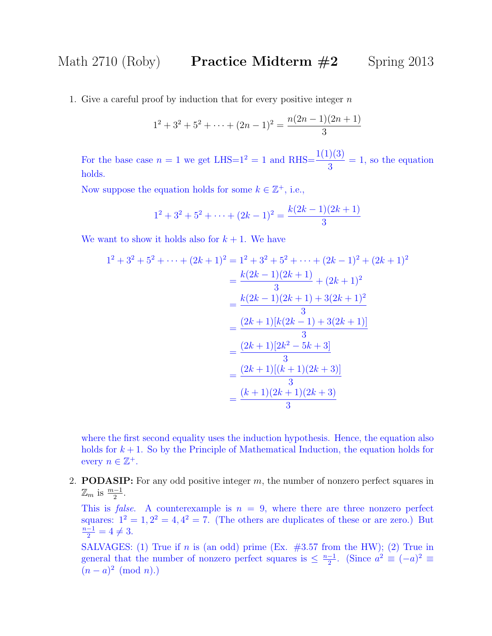1. Give a careful proof by induction that for every positive integer  $n$ 

$$
1^{2} + 3^{2} + 5^{2} + \dots + (2n - 1)^{2} = \frac{n(2n - 1)(2n + 1)}{3}
$$

For the base case  $n = 1$  we get LHS= $1^2 = 1$  and RHS= $\frac{1(1)(3)}{2}$ 3  $= 1$ , so the equation holds.

Now suppose the equation holds for some  $k \in \mathbb{Z}^+$ , i.e.,

$$
1^2 + 3^2 + 5^2 + \dots + (2k - 1)^2 = \frac{k(2k - 1)(2k + 1)}{3}
$$

We want to show it holds also for  $k + 1$ . We have

$$
1^{2} + 3^{2} + 5^{2} + \dots + (2k + 1)^{2} = 1^{2} + 3^{2} + 5^{2} + \dots + (2k - 1)^{2} + (2k + 1)^{2}
$$
  
= 
$$
\frac{k(2k - 1)(2k + 1)}{3} + (2k + 1)^{2}
$$
  
= 
$$
\frac{k(2k - 1)(2k + 1) + 3(2k + 1)^{2}}{3}
$$
  
= 
$$
\frac{(2k + 1)[k(2k - 1) + 3(2k + 1)]}{3}
$$
  
= 
$$
\frac{(2k + 1)[2k^{2} - 5k + 3]}{3}
$$
  
= 
$$
\frac{(2k + 1)[(k + 1)(2k + 3)]}{3}
$$
  
= 
$$
\frac{(k + 1)(2k + 1)(2k + 3)}{3}
$$

where the first second equality uses the induction hypothesis. Hence, the equation also holds for  $k + 1$ . So by the Principle of Mathematical Induction, the equation holds for every  $n \in \mathbb{Z}^+$ .

2. **PODASIP:** For any odd positive integer  $m$ , the number of nonzero perfect squares in  $\mathbb{Z}_m$  is  $\frac{m-1}{2}$ .

This is *false*. A counterexample is  $n = 9$ , where there are three nonzero perfect squares:  $1^2 = 1, 2^2 = 4, 4^2 = 7.$  (The others are duplicates of these or are zero.) But  $\frac{n-1}{2} = 4 \neq 3.$ 

SALVAGES: (1) True if n is (an odd) prime (Ex.  $\#3.57$  from the HW); (2) True in general that the number of nonzero perfect squares is  $\leq \frac{n-1}{2}$  $\frac{-1}{2}$ . (Since  $a^2 \equiv (-a)^2 \equiv$  $(n-a)^2 \pmod{n}$ .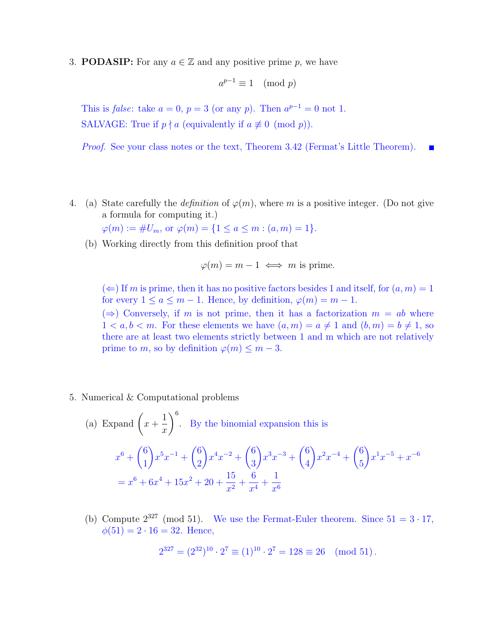3. **PODASIP:** For any  $a \in \mathbb{Z}$  and any positive prime p, we have

$$
a^{p-1} \equiv 1 \pmod{p}
$$

This is *false*: take  $a = 0$ ,  $p = 3$  (or any p). Then  $a^{p-1} = 0$  not 1. SALVAGE: True if  $p \nmid a$  (equivalently if  $a \not\equiv 0 \pmod{p}$ ).

Proof. See your class notes or the text, Theorem 3.42 (Fermat's Little Theorem).

4. (a) State carefully the *definition* of  $\varphi(m)$ , where m is a positive integer. (Do not give a formula for computing it.)

 $\varphi(m) := \#U_m$ , or  $\varphi(m) = \{1 \le a \le m : (a, m) = 1\}.$ 

(b) Working directly from this definition proof that

$$
\varphi(m) = m - 1 \iff m
$$
 is prime.

 $(\Leftarrow)$  If m is prime, then it has no positive factors besides 1 and itself, for  $(a, m) = 1$ for every  $1 \le a \le m-1$ . Hence, by definition,  $\varphi(m) = m-1$ .

 $(\Rightarrow)$  Conversely, if m is not prime, then it has a factorization  $m = ab$  where  $1 < a, b < m$ . For these elements we have  $(a, m) = a \neq 1$  and  $(b, m) = b \neq 1$ , so there are at least two elements strictly between 1 and m which are not relatively prime to m, so by definition  $\varphi(m) \leq m-3$ .

5. Numerical & Computational problems

(a) Expand 
$$
\left(x + \frac{1}{x}\right)^6
$$
. By the binomial expansion this is  
\n
$$
x^6 + {6 \choose 1} x^5 x^{-1} + {6 \choose 2} x^4 x^{-2} + {6 \choose 3} x^3 x^{-3} + {6 \choose 4} x^2 x^{-4} + {6 \choose 5} x^1 x^{-5} + x^{-6}
$$
\n
$$
= x^6 + 6x^4 + 15x^2 + 20 + \frac{15}{x^2} + \frac{6}{x^4} + \frac{1}{x^6}
$$

(b) Compute  $2^{327}$  (mod 51). We use the Fermat-Euler theorem. Since  $51 = 3 \cdot 17$ ,  $\phi(51) = 2 \cdot 16 = 32$ . Hence,

$$
2^{327} = (2^{32})^{10} \cdot 2^7 \equiv (1)^{10} \cdot 2^7 = 128 \equiv 26 \pmod{51}.
$$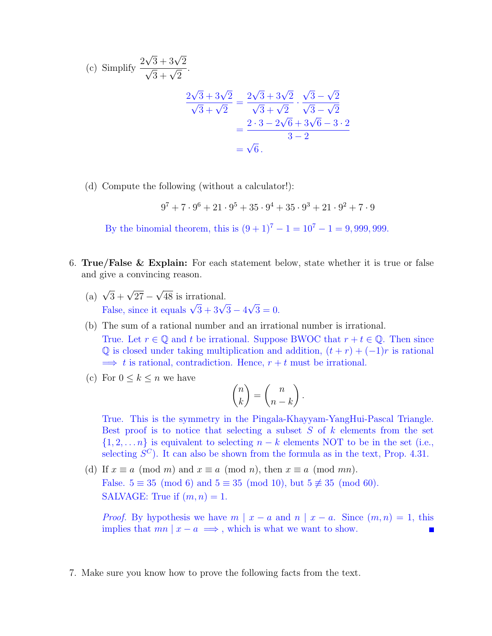(c) Simplify 
$$
\frac{2\sqrt{3} + 3\sqrt{2}}{\sqrt{3} + \sqrt{2}}
$$
.  
\n
$$
\frac{2\sqrt{3} + 3\sqrt{2}}{\sqrt{3} + \sqrt{2}} = \frac{2\sqrt{3} + 3\sqrt{2}}{\sqrt{3} + \sqrt{2}} \cdot \frac{\sqrt{3} - \sqrt{2}}{\sqrt{3} - \sqrt{2}}
$$
\n
$$
= \frac{2 \cdot 3 - 2\sqrt{6} + 3\sqrt{6} - 3 \cdot 2}{3 - 2}
$$
\n
$$
= \sqrt{6}.
$$

(d) Compute the following (without a calculator!):

 $9^7 + 7 \cdot 9^6 + 21 \cdot 9^5 + 35 \cdot 9^4 + 35 \cdot 9^3 + 21 \cdot 9^2 + 7 \cdot 9$ 

By the binomial theorem, this is  $(9 + 1)^7 - 1 = 10^7 - 1 = 9,999,999$ .

- 6. True/False & Explain: For each statement below, state whether it is true or false and give a convincing reason.
	- (a)  $\sqrt{3} + \sqrt{27}$  √ 48 is irrational. False, since it equals  $\sqrt{3} + 3\sqrt{3} - 4$ √  $3 = 0.$
	- (b) The sum of a rational number and an irrational number is irrational. True. Let  $r \in \mathbb{Q}$  and t be irrational. Suppose BWOC that  $r + t \in \mathbb{Q}$ . Then since Q is closed under taking multiplication and addition,  $(t + r) + (-1)r$  is rational  $\implies t$  is rational, contradiction. Hence,  $r + t$  must be irrational.
	- (c) For  $0 \leq k \leq n$  we have

$$
\binom{n}{k} = \binom{n}{n-k}.
$$

True. This is the symmetry in the Pingala-Khayyam-YangHui-Pascal Triangle. Best proof is to notice that selecting a subset  $S$  of  $k$  elements from the set  $\{1, 2, \ldots n\}$  is equivalent to selecting  $n - k$  elements NOT to be in the set (i.e., selecting  $S^C$ ). It can also be shown from the formula as in the text, Prop. 4.31.

(d) If  $x \equiv a \pmod{m}$  and  $x \equiv a \pmod{n}$ , then  $x \equiv a \pmod{mn}$ . False.  $5 \equiv 35 \pmod{6}$  and  $5 \equiv 35 \pmod{10}$ , but  $5 \not\equiv 35 \pmod{60}$ . SALVAGE: True if  $(m, n) = 1$ .

*Proof.* By hypothesis we have  $m | x - a$  and  $n | x - a$ . Since  $(m, n) = 1$ , this implies that  $mn | x - a \implies$ , which is what we want to show.

7. Make sure you know how to prove the following facts from the text.